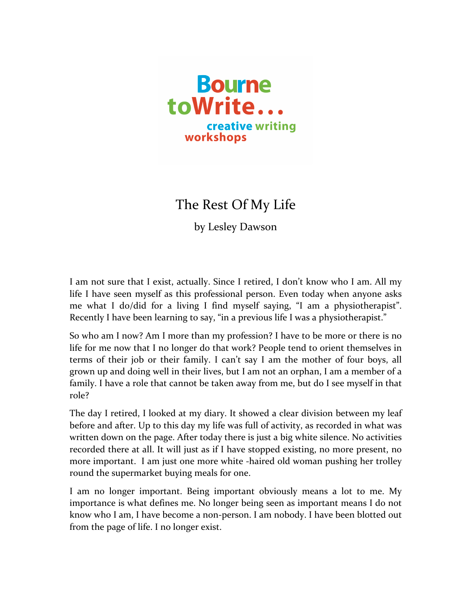

The Rest Of My Life

by Lesley Dawson

I am not sure that I exist, actually. Since I retired, I don't know who I am. All my life I have seen myself as this professional person. Even today when anyone asks me what I do/did for a living I find myself saying, "I am a physiotherapist". Recently I have been learning to say, "in a previous life I was a physiotherapist."

So who am I now? Am I more than my profession? I have to be more or there is no life for me now that I no longer do that work? People tend to orient themselves in terms of their job or their family. I can't say I am the mother of four boys, all grown up and doing well in their lives, but I am not an orphan, I am a member of a family. I have a role that cannot be taken away from me, but do I see myself in that role? 

The day I retired, I looked at my diary. It showed a clear division between my leaf before and after. Up to this day my life was full of activity, as recorded in what was written down on the page. After today there is just a big white silence. No activities recorded there at all. It will just as if I have stopped existing, no more present, no more important. I am just one more white -haired old woman pushing her trolley round the supermarket buying meals for one.

I am no longer important. Being important obviously means a lot to me. My importance is what defines me. No longer being seen as important means I do not know who I am, I have become a non-person. I am nobody. I have been blotted out from the page of life. I no longer exist.